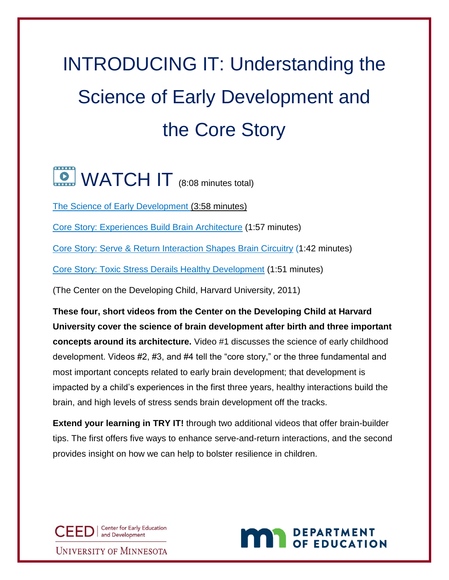# INTRODUCING IT: Understanding the Science of Early Development and the Core Story

## **D** WATCH IT (8:08 minutes total)

[The Science of Early Development](https://www.youtube.com/watch?time_continue=9&v=WO-CB2nsqTA&feature=emb_logo) (3:58 minutes)

[Core Story: Experiences Build Brain Architecture](https://www.youtube.com/watch?v=VNNsN9IJkws&feature=emb_logo) (1:57 minutes)

[Core Story: Serve & Return Interaction Shapes Brain Circuitry](https://www.youtube.com/watch?v=m_5u8-QSh6A&feature=emb_logo) (1:42 minutes)

[Core Story: Toxic Stress Derails Healthy Development](https://www.youtube.com/watch?v=rVwFkcOZHJw&feature=emb_logo) (1:51 minutes)

(The Center on the Developing Child, Harvard University, 2011)

**These four, short videos from the Center on the Developing Child at Harvard University cover the science of brain development after birth and three important concepts around its architecture.** Video #1 discusses the science of early childhood development. Videos #2, #3, and #4 tell the "core story," or the three fundamental and most important concepts related to early brain development; that development is impacted by a child's experiences in the first three years, healthy interactions build the brain, and high levels of stress sends brain development off the tracks.

**Extend your learning in TRY IT!** through two additional videos that offer brain-builder tips. The first offers five ways to enhance serve-and-return interactions, and the second provides insight on how we can help to bolster resilience in children.



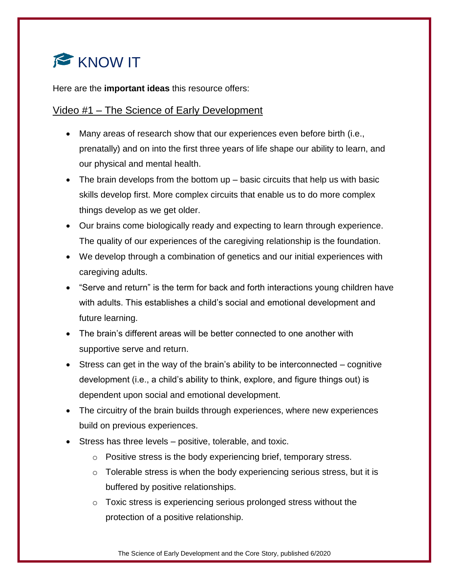

Here are the **important ideas** this resource offers:

#### Video #1 – The Science of Early Development

- Many areas of research show that our experiences even before birth (i.e., prenatally) and on into the first three years of life shape our ability to learn, and our physical and mental health.
- The brain develops from the bottom up basic circuits that help us with basic skills develop first. More complex circuits that enable us to do more complex things develop as we get older.
- Our brains come biologically ready and expecting to learn through experience. The quality of our experiences of the caregiving relationship is the foundation.
- We develop through a combination of genetics and our initial experiences with caregiving adults.
- "Serve and return" is the term for back and forth interactions young children have with adults. This establishes a child's social and emotional development and future learning.
- The brain's different areas will be better connected to one another with supportive serve and return.
- $\bullet$  Stress can get in the way of the brain's ability to be interconnected cognitive development (i.e., a child's ability to think, explore, and figure things out) is dependent upon social and emotional development.
- The circuitry of the brain builds through experiences, where new experiences build on previous experiences.
- Stress has three levels positive, tolerable, and toxic.
	- o Positive stress is the body experiencing brief, temporary stress.
	- $\circ$  Tolerable stress is when the body experiencing serious stress, but it is buffered by positive relationships.
	- o Toxic stress is experiencing serious prolonged stress without the protection of a positive relationship.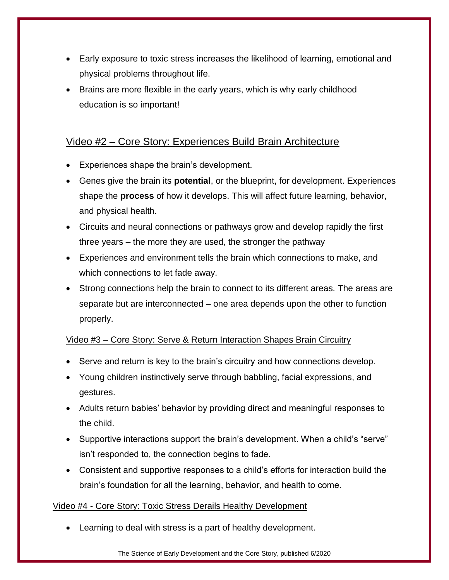- Early exposure to toxic stress increases the likelihood of learning, emotional and physical problems throughout life.
- Brains are more flexible in the early years, which is why early childhood education is so important!

#### Video #2 – Core Story: Experiences Build Brain Architecture

- Experiences shape the brain's development.
- Genes give the brain its **potential**, or the blueprint, for development. Experiences shape the **process** of how it develops. This will affect future learning, behavior, and physical health.
- Circuits and neural connections or pathways grow and develop rapidly the first three years – the more they are used, the stronger the pathway
- Experiences and environment tells the brain which connections to make, and which connections to let fade away.
- Strong connections help the brain to connect to its different areas. The areas are separate but are interconnected – one area depends upon the other to function properly.

#### Video #3 – Core Story: Serve & Return Interaction Shapes Brain Circuitry

- Serve and return is key to the brain's circuitry and how connections develop.
- Young children instinctively serve through babbling, facial expressions, and gestures.
- Adults return babies' behavior by providing direct and meaningful responses to the child.
- Supportive interactions support the brain's development. When a child's "serve" isn't responded to, the connection begins to fade.
- Consistent and supportive responses to a child's efforts for interaction build the brain's foundation for all the learning, behavior, and health to come.

#### Video #4 - Core Story: Toxic Stress Derails Healthy Development

Learning to deal with stress is a part of healthy development.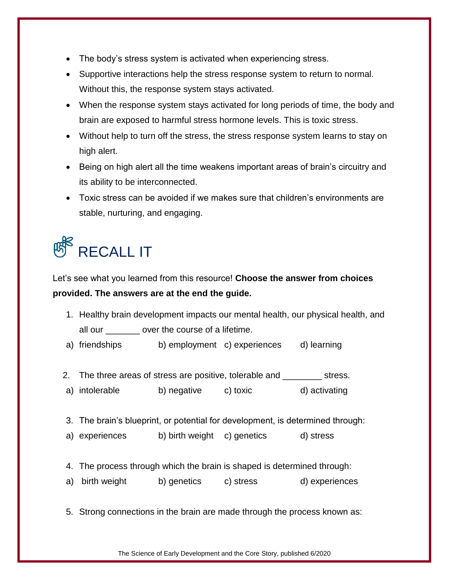- The body's stress system is activated when experiencing stress.
- Supportive interactions help the stress response system to return to normal. Without this, the response system stays activated.
- When the response system stays activated for long periods of time, the body and brain are exposed to harmful stress hormone levels. This is toxic stress.
- Without help to turn off the stress, the stress response system learns to stay on high alert.
- Being on high alert all the time weakens important areas of brain's circuitry and its ability to be interconnected.
- Toxic stress can be avoided if we makes sure that children's environments are stable, nurturing, and engaging.

### **RECALL IT**

Let's see what you learned from this resource! **Choose the answer from choices provided. The answers are at the end the guide.**

- 1. Healthy brain development impacts our mental health, our physical health, and all our \_\_\_\_\_\_\_ over the course of a lifetime.
- a) friendships b) employment c) experiences d) learning
- 2. The three areas of stress are positive, tolerable and \_\_\_\_\_\_\_\_ stress.
- a) intolerable b) negative c) toxic d) activating
- 3. The brain's blueprint, or potential for development, is determined through:
- a) experiences b) birth weight c) genetics d) stress
- 4. The process through which the brain is shaped is determined through:
- a) birth weight b) genetics c) stress d) experiences
- 5. Strong connections in the brain are made through the process known as:

The Science of Early Development and the Core Story, published 6/2020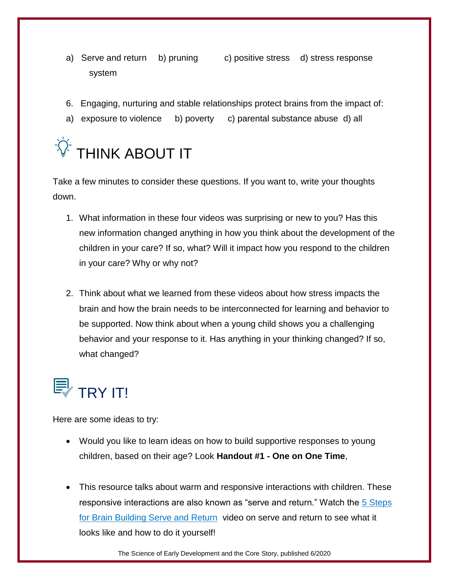- a) Serve and return b) pruning c) positive stress d) stress response system
- 6. Engaging, nurturing and stable relationships protect brains from the impact of:
- a) exposure to violence b) poverty c) parental substance abuse d) all



Take a few minutes to consider these questions. If you want to, write your thoughts down.

- 1. What information in these four videos was surprising or new to you? Has this new information changed anything in how you think about the development of the children in your care? If so, what? Will it impact how you respond to the children in your care? Why or why not?
- 2. Think about what we learned from these videos about how stress impacts the brain and how the brain needs to be interconnected for learning and behavior to be supported. Now think about when a young child shows you a challenging behavior and your response to it. Has anything in your thinking changed? If so, what changed?

### 厚 TRY IT!

Here are some ideas to try:

- Would you like to learn ideas on how to build supportive responses to young children, based on their age? Look **Handout #1 - One on One Time**,
- This resource talks about warm and responsive interactions with children. These responsive interactions are also known as "serve and return." Watch the 5 Steps for [Brain Building Serve and Return](https://developingchild.harvard.edu/science/key-concepts/executive-function/) video on serve and return to see what it looks like and how to do it yourself!